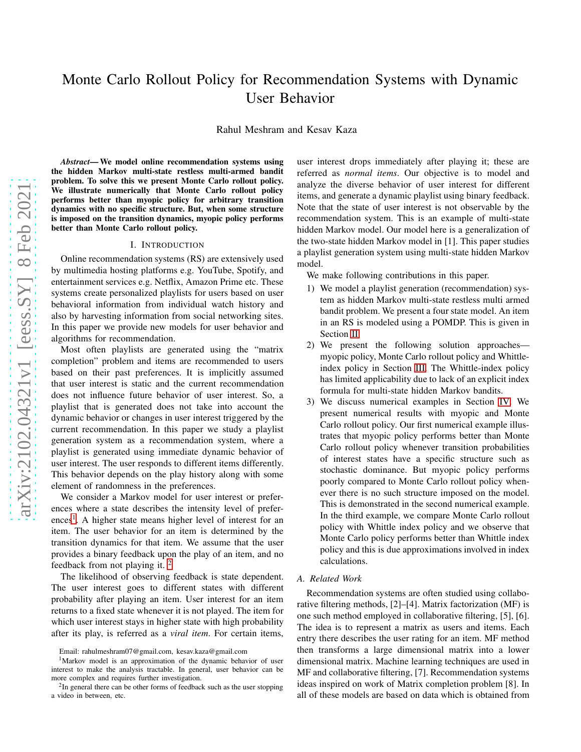# Monte Carlo Rollout Policy for Recommendation Systems with Dynamic User Behavior

Rahul Meshram and Kesav Kaza

*Abstract*— We model online recommendation systems using the hidden Markov multi-state restless multi-armed bandit problem. To solve this we present Monte Carlo rollout policy. We illustrate numerically that Monte Carlo rollout policy performs better than myopic policy for arbitrary transition dynamics with no specific structure. But, when some structure is imposed on the transition dynamics, myopic policy performs better than Monte Carlo rollout policy.

#### I. INTRODUCTION

Online recommendation systems (RS) are extensively used by multimedia hosting platforms e.g. YouTube, Spotify, and entertainment services e.g. Netflix, Amazon Prime etc. These systems create personalized playlists for users based on user behavioral information from individual watch history and also by harvesting information from social networking sites. In this paper we provide new models for user behavior and algorithms for recommendation.

Most often playlists are generated using the "matrix completion" problem and items are recommended to users based on their past preferences. It is implicitly assumed that user interest is static and the current recommendation does not influence future behavior of user interest. So, a playlist that is generated does not take into account the dynamic behavior or changes in user interest triggered by the current recommendation. In this paper we study a playlist generation system as a recommendation system, where a playlist is generated using immediate dynamic behavior of user interest. The user responds to different items differently. This behavior depends on the play history along with some element of randomness in the preferences.

We consider a Markov model for user interest or preferences where a state describes the intensity level of prefer-ences<sup>[1](#page-0-0)</sup>. A higher state means higher level of interest for an item. The user behavior for an item is determined by the transition dynamics for that item. We assume that the user provides a binary feedback upon the play of an item, and no feedback from not playing it. [2](#page-0-1)

The likelihood of observing feedback is state dependent. The user interest goes to different states with different probability after playing an item. User interest for an item returns to a fixed state whenever it is not played. The item for which user interest stays in higher state with high probability after its play, is referred as a *viral item*. For certain items,

user interest drops immediately after playing it; these are referred as *normal items*. Our objective is to model and analyze the diverse behavior of user interest for different items, and generate a dynamic playlist using binary feedback. Note that the state of user interest is not observable by the recommendation system. This is an example of multi-state hidden Markov model. Our model here is a generalization of the two-state hidden Markov model in [1]. This paper studies a playlist generation system using multi-state hidden Markov model.

We make following contributions in this paper.

- 1) We model a playlist generation (recommendation) system as hidden Markov multi-state restless multi armed bandit problem. We present a four state model. An item in an RS is modeled using a POMDP. This is given in Section [II.](#page-1-0)
- 2) We present the following solution approaches myopic policy, Monte Carlo rollout policy and Whittleindex policy in Section [III.](#page-1-1) The Whittle-index policy has limited applicability due to lack of an explicit index formula for multi-state hidden Markov bandits.
- 3) We discuss numerical examples in Section [IV.](#page-2-0) We present numerical results with myopic and Monte Carlo rollout policy. Our first numerical example illustrates that myopic policy performs better than Monte Carlo rollout policy whenever transition probabilities of interest states have a specific structure such as stochastic dominance. But myopic policy performs poorly compared to Monte Carlo rollout policy whenever there is no such structure imposed on the model. This is demonstrated in the second numerical example. In the third example, we compare Monte Carlo rollout policy with Whittle index policy and we observe that Monte Carlo policy performs better than Whittle index policy and this is due approximations involved in index calculations.

#### *A. Related Work*

Recommendation systems are often studied using collaborative filtering methods, [2]–[4]. Matrix factorization (MF) is one such method employed in collaborative filtering, [5], [6]. The idea is to represent a matrix as users and items. Each entry there describes the user rating for an item. MF method then transforms a large dimensional matrix into a lower dimensional matrix. Machine learning techniques are used in MF and collaborative filtering, [7]. Recommendation systems ideas inspired on work of Matrix completion problem [8]. In all of these models are based on data which is obtained from

Email: rahulmeshram07@gmail.com, kesav.kaza@gmail.com

<span id="page-0-0"></span><sup>1</sup>Markov model is an approximation of the dynamic behavior of user interest to make the analysis tractable. In general, user behavior can be more complex and requires further investigation.

<span id="page-0-1"></span><sup>&</sup>lt;sup>2</sup>In general there can be other forms of feedback such as the user stopping a video in between, etc.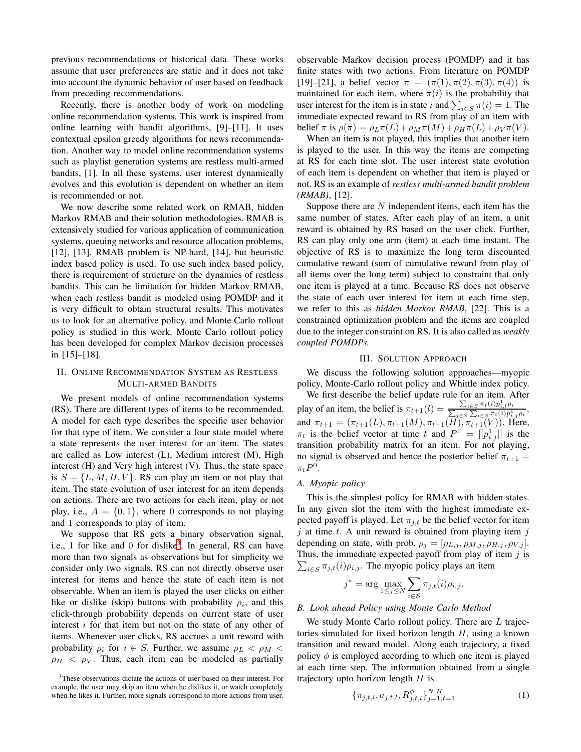previous recommendations or historical data. These works assume that user preferences are static and it does not take into account the dynamic behavior of user based on feedback from preceding recommendations.

Recently, there is another body of work on modeling online recommendation systems. This work is inspired from online learning with bandit algorithms, [9]–[11]. It uses contextual epsilon greedy algorithms for news recommendation. Another way to model online recommendation systems such as playlist generation systems are restless multi-armed bandits, [1]. In all these systems, user interest dynamically evolves and this evolution is dependent on whether an item is recommended or not.

We now describe some related work on RMAB, hidden Markov RMAB and their solution methodologies. RMAB is extensively studied for various application of communication systems, queuing networks and resource allocation problems, [12], [13]. RMAB problem is NP-hard, [14], but heuristic index based policy is used. To use such index based policy, there is requirement of structure on the dynamics of restless bandits. This can be limitation for hidden Markov RMAB, when each restless bandit is modeled using POMDP and it is very difficult to obtain structural results. This motivates us to look for an alternative policy, and Monte Carlo rollout policy is studied in this work. Monte Carlo rollout policy has been developed for complex Markov decision processes in [15]–[18].

## <span id="page-1-0"></span>II. ONLINE RECOMMENDATION SYSTEM AS RESTLESS MULTI-ARMED BANDITS

We present models of online recommendation systems (RS). There are different types of items to be recommended. A model for each type describes the specific user behavior for that type of item. We consider a four state model where a state represents the user interest for an item. The states are called as Low interest (L), Medium interest (M), High interest (H) and Very high interest (V). Thus, the state space is  $S = \{L, M, H, V\}$ . RS can play an item or not play that item. The state evolution of user interest for an item depends on actions. There are two actions for each item, play or not play, i.e.,  $A = \{0, 1\}$ , where 0 corresponds to not playing and 1 corresponds to play of item.

We suppose that RS gets a binary observation signal, i.e., 1 for like and 0 for dislike<sup>[3](#page-1-2)</sup>. In general, RS can have more than two signals as observations but for simplicity we consider only two signals. RS can not directly observe user interest for items and hence the state of each item is not observable. When an item is played the user clicks on either like or dislike (skip) buttons with probability  $\rho_i$ , and this click-through probability depends on current state of user interest  $i$  for that item but not on the state of any other of items. Whenever user clicks, RS accrues a unit reward with probability  $\rho_i$  for  $i \in S$ . Further, we assume  $\rho_L < \rho_M <$  $\rho_H < \rho_V$ . Thus, each item can be modeled as partially

observable Markov decision process (POMDP) and it has finite states with two actions. From literature on POMDP [19]–[21], a belief vector  $\pi = (\pi(1), \pi(2), \pi(3), \pi(4))$  is maintained for each item, where  $\pi(i)$  is the probability that user interest for the item is in state i and  $\sum_{i \in S} \pi(i) = 1$ . The immediate expected reward to RS from play of an item with belief  $\pi$  is  $\rho(\pi) = \rho_L \pi(L) + \rho_M \pi(M) + \rho_H \pi(L) + \rho_V \pi(V)$ .

When an item is not played, this implies that another item is played to the user. In this way the items are competing at RS for each time slot. The user interest state evolution of each item is dependent on whether that item is played or not. RS is an example of *restless multi-armed bandit problem (RMAB)*, [12].

Suppose there are  $N$  independent items, each item has the same number of states. After each play of an item, a unit reward is obtained by RS based on the user click. Further, RS can play only one arm (item) at each time instant. The objective of RS is to maximize the long term discounted cumulative reward (sum of cumulative reward from play of all items over the long term) subject to constraint that only one item is played at a time. Because RS does not observe the state of each user interest for item at each time step, we refer to this as *hidden Markov RMAB*, [22]. This is a constrained optimization problem and the items are coupled due to the integer constraint on RS. It is also called as *weakly coupled POMDPs.*

## III. SOLUTION APPROACH

<span id="page-1-1"></span>We discuss the following solution approaches—myopic policy, Monte-Carlo rollout policy and Whittle index policy.

We first describe the belief update rule for an item. After play of an item, the belief is  $\pi_{t+1}(l) = \frac{\sum_{i \in S} \pi_t(i) p_{i,l}^1 \rho_i}{\sum_{j \in S} \sum_{i \in S} \pi_t(i) p_{i,j}^1 \rho_i}$ and  $\pi_{t+1} = (\pi_{t+1}(L), \pi_{t+1}(M), \pi_{t+1}(H), \pi_{t+1}(V))$ . Here,  $\pi_t$  is the belief vector at time t and  $P^1 = [[p_{i,j}^1]]$  is the transition probability matrix for an item. For not playing, no signal is observed and hence the posterior belief  $\pi_{t+1} =$  $\pi_t P^0$ .

#### *A. Myopic policy*

This is the simplest policy for RMAB with hidden states. In any given slot the item with the highest immediate expected payoff is played. Let  $\pi_{j,t}$  be the belief vector for item  $j$  at time  $t$ . A unit reward is obtained from playing item  $j$ depending on state, with prob.  $\rho_j = [\rho_{L,j}, \rho_{M,j}, \rho_{H,j}, \rho_{V,j}]$ .  $\sum_{i \in S} \pi_{j,t}(i) \rho_{i,j}$ . The myopic policy plays an item Thus, the immediate expected payoff from play of item  $j$  is

$$
j^* = \arg\max_{1 \leq j \leq N} \sum_{i \in \mathcal{S}} \pi_{j,t}(i) \rho_{i,j}.
$$

## *B. Look ahead Policy using Monte Carlo Method*

We study Monte Carlo rollout policy. There are  $L$  trajectories simulated for fixed horizon length  $H$ , using a known transition and reward model. Along each trajectory, a fixed policy  $\phi$  is employed according to which one item is played at each time step. The information obtained from a single trajectory upto horizon length  $H$  is

$$
\{\pi_{j,t,l}, a_{j,t,l}, R_{j,t,l}^{\phi} \}_{j=1,t=1}^{N,H}
$$
 (1)

<span id="page-1-2"></span><sup>3</sup>These observations dictate the actions of user based on their interest. For example, the user may skip an item when he dislikes it, or watch completely when he likes it. Further, more signals correspond to more actions from user.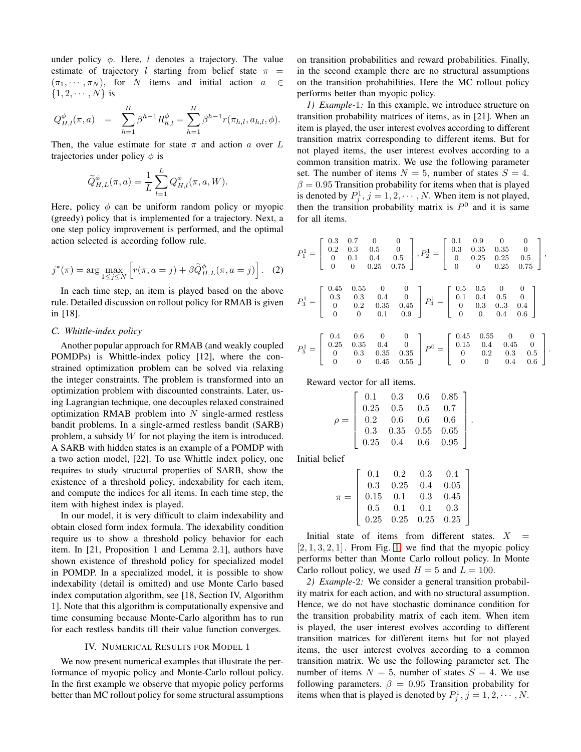under policy  $\phi$ . Here, l denotes a trajectory. The value estimate of trajectory l starting from belief state  $\pi$  =  $(\pi_1, \cdots, \pi_N)$ , for N items and initial action  $a \in$  $\{1, 2, \cdots, N\}$  is

$$
Q_{H,l}^{\phi}(\pi, a) = \sum_{h=1}^{H} \beta^{h-1} R_{h,l}^{\phi} = \sum_{h=1}^{H} \beta^{h-1} r(\pi_{h,l}, a_{h,l}, \phi).
$$

Then, the value estimate for state  $\pi$  and action a over L trajectories under policy  $\phi$  is

$$
\widetilde{Q}_{H,L}^{\phi}(\pi, a) = \frac{1}{L} \sum_{l=1}^{L} Q_{H,l}^{\phi}(\pi, a, W).
$$

Here, policy  $\phi$  can be uniform random policy or myopic (greedy) policy that is implemented for a trajectory. Next, a one step policy improvement is performed, and the optimal action selected is according follow rule.

$$
j^*(\pi) = \arg \max_{1 \le j \le N} \left[ r(\pi, a = j) + \beta \widetilde{Q}_{H,L}^{\phi}(\pi, a = j) \right]. \tag{2}
$$

In each time step, an item is played based on the above rule. Detailed discussion on rollout policy for RMAB is given in [18].

## *C. Whittle-index policy*

Another popular approach for RMAB (and weakly coupled POMDPs) is Whittle-index policy [12], where the constrained optimization problem can be solved via relaxing the integer constraints. The problem is transformed into an optimization problem with discounted constraints. Later, using Lagrangian technique, one decouples relaxed constrained optimization RMAB problem into  $N$  single-armed restless bandit problems. In a single-armed restless bandit (SARB) problem, a subsidy W for not playing the item is introduced. A SARB with hidden states is an example of a POMDP with a two action model, [22]. To use Whittle index policy, one requires to study structural properties of SARB, show the existence of a threshold policy, indexability for each item, and compute the indices for all items. In each time step, the item with highest index is played.

In our model, it is very difficult to claim indexability and obtain closed form index formula. The idexability condition require us to show a threshold policy behavior for each item. In [21, Proposition 1 and Lemma 2.1], authors have shown existence of threshold policy for specialized model in POMDP. In a specialized model, it is possible to show indexability (detail is omitted) and use Monte Carlo based index computation algorithm, see [18, Section IV, Algorithm 1]. Note that this algorithm is computationally expensive and time consuming because Monte-Carlo algorithm has to run for each restless bandits till their value function converges.

#### IV. NUMERICAL RESULTS FOR MODEL 1

<span id="page-2-0"></span>We now present numerical examples that illustrate the performance of myopic policy and Monte-Carlo rollout policy. In the first example we observe that myopic policy performs better than MC rollout policy for some structural assumptions on transition probabilities and reward probabilities. Finally, in the second example there are no structural assumptions on the transition probabilities. Here the MC rollout policy performs better than myopic policy.

*1) Example-*1*:* In this example, we introduce structure on transition probability matrices of items, as in [21]. When an item is played, the user interest evolves according to different transition matrix corresponding to different items. But for not played items, the user interest evolves according to a common transition matrix. We use the following parameter set. The number of items  $N = 5$ , number of states  $S = 4$ .  $\beta = 0.95$  Transition probability for items when that is played is denoted by  $P_j^1$ ,  $j = 1, 2, \cdots, N$ . When item is not played, then the transition probability matrix is  $P^0$  and it is same for all items.

$$
P_1^1 = \begin{bmatrix} 0.3 & 0.7 & 0 & 0 \\ 0.2 & 0.3 & 0.5 & 0 \\ 0 & 0.1 & 0.4 & 0.5 \\ 0 & 0 & 0.25 & 0.75 \end{bmatrix}, P_2^1 = \begin{bmatrix} 0.1 & 0.9 & 0 & 0 \\ 0.3 & 0.35 & 0.35 & 0 \\ 0 & 0.25 & 0.25 & 0.5 \\ 0 & 0 & 0.25 & 0.75 \end{bmatrix},
$$
  
\n
$$
P_3^1 = \begin{bmatrix} 0.45 & 0.55 & 0 & 0 \\ 0.3 & 0.3 & 0.4 & 0 \\ 0 & 0.2 & 0.35 & 0.45 \\ 0 & 0 & 0.1 & 0.9 \end{bmatrix} P_4^1 = \begin{bmatrix} 0.5 & 0.5 & 0 & 0 \\ 0.1 & 0.4 & 0.5 & 0 \\ 0 & 0.3 & 0.3 & 0.4 \\ 0 & 0 & 0.4 & 0.6 \end{bmatrix}
$$
  
\n
$$
P_5^1 = \begin{bmatrix} 0.4 & 0.6 & 0 & 0 \\ 0.25 & 0.35 & 0.4 & 0 \\ 0 & 0.3 & 0.35 & 0.35 \\ 0 & 0 & 0.45 & 0.55 \end{bmatrix} P^0 = \begin{bmatrix} 0.45 & 0.55 & 0 & 0 \\ 0.15 & 0.4 & 0.45 & 0 \\ 0 & 0.2 & 0.3 & 0.5 \\ 0 & 0 & 0.4 & 0.6 \end{bmatrix}.
$$

.

1  $\mathbf{I}$  $\overline{1}$  $\overline{1}$  $\overline{1}$  $\overline{1}$ 

Reward vector for all items.

|  |  | $\rho = \left[ \begin{array}{cccc} 0.1 & 0.3 & 0.6 & 0.85 \\ 0.25 & 0.5 & 0.5 & 0.7 \\ 0.2 & 0.6 & 0.6 & 0.6 \\ 0.3 & 0.35 & 0.55 & 0.65 \\ 0.25 & 0.4 & 0.6 & 0.95 \end{array} \right]$ |
|--|--|------------------------------------------------------------------------------------------------------------------------------------------------------------------------------------------|
|  |  |                                                                                                                                                                                          |
|  |  |                                                                                                                                                                                          |
|  |  |                                                                                                                                                                                          |
|  |  |                                                                                                                                                                                          |
|  |  |                                                                                                                                                                                          |

Initial belief

| $\pi = \left[ \begin{array}{cccc} 0.1 & 0.2 & 0.3 & 0.4 \\ 0.3 & 0.25 & 0.4 & 0.05 \\ 0.15 & 0.1 & 0.3 & 0.45 \\ 0.5 & 0.1 & 0.1 & 0.3 \\ 0.25 & 0.25 & 0.25 & 0.25 \end{array} \right.$ |  |  |
|------------------------------------------------------------------------------------------------------------------------------------------------------------------------------------------|--|--|
|                                                                                                                                                                                          |  |  |
|                                                                                                                                                                                          |  |  |
|                                                                                                                                                                                          |  |  |
|                                                                                                                                                                                          |  |  |

Initial state of items from different states.  $X =$  $[2, 1, 3, 2, 1]$  $[2, 1, 3, 2, 1]$  $[2, 1, 3, 2, 1]$ . From Fig. 1, we find that the myopic policy performs better than Monte Carlo rollout policy. In Monte Carlo rollout policy, we used  $H = 5$  and  $L = 100$ .

*2) Example-*2*:* We consider a general transition probability matrix for each action, and with no structural assumption. Hence, we do not have stochastic dominance condition for the transition probability matrix of each item. When item is played, the user interest evolves according to different transition matrices for different items but for not played items, the user interest evolves according to a common transition matrix. We use the following parameter set. The number of items  $N = 5$ , number of states  $S = 4$ . We use following parameters.  $\beta = 0.95$  Transition probability for items when that is played is denoted by  $P_j^1$ ,  $j = 1, 2, \dots, N$ .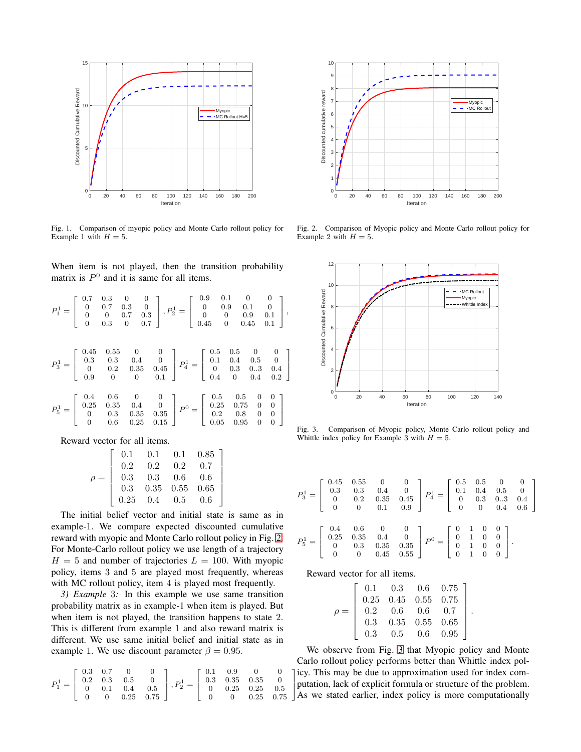

<span id="page-3-0"></span>Fig. 1. Comparison of myopic policy and Monte Carlo rollout policy for Example 1 with  $H = 5$ .

When item is not played, then the transition probability matrix is  $P^0$  and it is same for all items.

$$
P_1^1 = \begin{bmatrix} 0.7 & 0.3 & 0 & 0 \\ 0 & 0.7 & 0.3 & 0 \\ 0 & 0 & 0.7 & 0.3 \\ 0 & 0.3 & 0 & 0.7 \end{bmatrix}, P_2^1 = \begin{bmatrix} 0.9 & 0.1 & 0 & 0 \\ 0 & 0.9 & 0.1 & 0 \\ 0 & 0 & 0.9 & 0.1 \\ 0.45 & 0 & 0.45 & 0.1 \end{bmatrix},
$$
  
\n
$$
P_3^1 = \begin{bmatrix} 0.45 & 0.55 & 0 & 0 \\ 0.3 & 0.3 & 0.4 & 0 \\ 0 & 0.2 & 0.35 & 0.45 \\ 0.9 & 0 & 0 & 0.1 \end{bmatrix}, P_4^1 = \begin{bmatrix} 0.5 & 0.5 & 0 & 0 \\ 0.1 & 0.4 & 0.5 & 0 \\ 0 & 0.3 & 0.3 & 0.4 \\ 0.4 & 0 & 0.4 & 0.2 \end{bmatrix}
$$
  
\n
$$
P_5^1 = \begin{bmatrix} 0.4 & 0.6 & 0 & 0 \\ 0.25 & 0.35 & 0.4 & 0 \\ 0 & 0.3 & 0.35 & 0.35 \\ 0 & 0.6 & 0.25 & 0.15 \end{bmatrix}, P_6 = \begin{bmatrix} 0.5 & 0.5 & 0 & 0 \\ 0.25 & 0.75 & 0 & 0 \\ 0.25 & 0.8 & 0 & 0 \\ 0.05 & 0.95 & 0 & 0 \end{bmatrix}
$$

Reward vector for all items.

$$
\rho = \left[\begin{array}{ccccc} 0.1 & 0.1 & 0.1 & 0.85 \\ 0.2 & 0.2 & 0.2 & 0.7 \\ 0.3 & 0.3 & 0.6 & 0.6 \\ 0.3 & 0.35 & 0.55 & 0.65 \\ 0.25 & 0.4 & 0.5 & 0.6 \end{array}\right]
$$

The initial belief vector and initial state is same as in example-1. We compare expected discounted cumulative reward with myopic and Monte Carlo rollout policy in Fig. [2.](#page-3-1) For Monte-Carlo rollout policy we use length of a trajectory  $H = 5$  and number of trajectories  $L = 100$ . With myopic policy, items 3 and 5 are played most frequently, whereas with MC rollout policy, item 4 is played most frequently.

*3) Example* 3*:* In this example we use same transition probability matrix as in example-1 when item is played. But when item is not played, the transition happens to state 2. This is different from example 1 and also reward matrix is different. We use same initial belief and initial state as in example 1. We use discount parameter  $\beta = 0.95$ .

$$
P^1_1=\left[\begin{array}{cccc}0.3&0.7&0&0\\0.2&0.3&0.5&0\\0&0.1&0.4&0.5\\0&0&0.25&0.75\end{array}\right],P^1_2=\left[\begin{array}{cccc}0.1&0.9&0&0\\0.3&0.35&0.35&0\\0&0.25&0.25&0.5\\0&0&0.25&0.75\end{array}\right]
$$



Fig. 2. Comparison of Myopic policy and Monte Carlo rollout policy for Example 2 with  $H = 5$ .

<span id="page-3-1"></span>

<span id="page-3-2"></span>Fig. 3. Comparison of Myopic policy, Monte Carlo rollout policy and Whittle index policy for Example 3 with  $H = 5$ .

|  |  | $P_3^1=\left[\begin{array}{cccc} 0.45 & 0.55 & 0 & 0\\ 0.3 & 0.3 & 0.4 & 0\\ 0 & 0.2 & 0.35 & 0.45\\ 0 & 0 & 0.1 & 0.9 \end{array}\right] \nonumber \\ P_4^1=\left[\begin{array}{cccc} 0.5 & 0.5 & 0 & 0\\ 0.1 & 0.4 & 0.5 & 0\\ 0 & 0.3 & 0.3 & 0.4\\ 0 & 0 & 0.4 & 0.6 \end{array}\right]$ |  |  |
|--|--|----------------------------------------------------------------------------------------------------------------------------------------------------------------------------------------------------------------------------------------------------------------------------------------------|--|--|
|  |  | $P_5^1 = \left[\begin{array}{cccc} 0.4 & 0.6 & 0 & 0 \\ 0.25 & 0.35 & 0.4 & 0 \\ 0 & 0.3 & 0.35 & 0.35 \\ 0 & 0 & 0.45 & 0.55 \end{array}\right] \nonumber \\ P^0 = \left[\begin{array}{cccc} 0 & 1 & 0 & 0 \\ 0 & 1 & 0 & 0 \\ 0 & 1 & 0 & 0 \\ 0 & 1 & 0 & 0 \end{array}\right].$          |  |  |

Reward vector for all items.

|     |                                                                                      |            | $0.1$ $0.3$ $0.6$ $0.75$ ] |
|-----|--------------------------------------------------------------------------------------|------------|----------------------------|
|     | $\begin{array}{cccc} 0.25 & 0.45 & 0.55 & 0.75 \\ 0.2 & 0.6 & 0.6 & 0.7 \end{array}$ |            |                            |
|     |                                                                                      |            |                            |
| 0.3 | $0.35$ $0.55$ $0.65$                                                                 |            |                            |
| 0.3 | 0.5                                                                                  | $0.6$ 0.95 |                            |

.

 icy. This may be due to approximation used for index com- , putation, lack of explicit formula or structure of the problem. We observe from Fig. [3](#page-3-2) that Myopic policy and Monte Carlo rollout policy performs better than Whittle index pol-As we stated earlier, index policy is more computationally